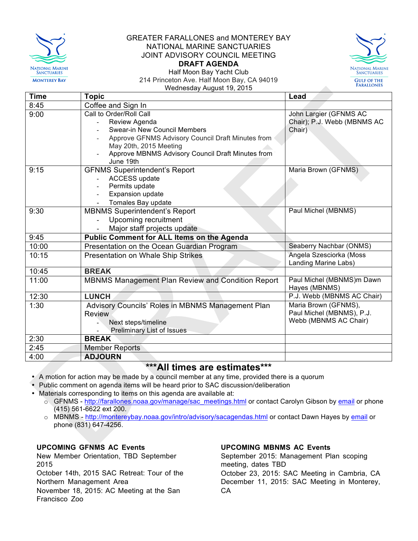

## GREATER FARALLONES and MONTEREY BAY NATIONAL MARINE SANCTUARIES JOINT ADVISORY COUNCIL MEETING **DRAFT AGENDA**



Half Moon Bay Yacht Club 214 Princeton Ave. Half Moon Bay, CA 94019 Wednesday August 19, 2015

| <b>Time</b> | <b>Topic</b>                                      | Lead                                                  |
|-------------|---------------------------------------------------|-------------------------------------------------------|
| 8:45        | Coffee and Sign In                                |                                                       |
| 9:00        | Call to Order/Roll Call<br>Review Agenda          | John Largier (GFNMS AC<br>Chair); P.J. Webb (MBNMS AC |
|             | <b>Swear-in New Council Members</b>               | Chair)                                                |
|             | Approve GFNMS Advisory Council Draft Minutes from |                                                       |
|             | May 20th, 2015 Meeting                            |                                                       |
|             | Approve MBNMS Advisory Council Draft Minutes from |                                                       |
|             | June 19th                                         |                                                       |
| 9:15        | <b>GFNMS Superintendent's Report</b>              | Maria Brown (GFNMS)                                   |
|             | ACCESS update                                     |                                                       |
|             | Permits update                                    |                                                       |
|             | Expansion update                                  |                                                       |
|             | Tomales Bay update                                |                                                       |
| 9:30        | <b>MBNMS Superintendent's Report</b>              | Paul Michel (MBNMS)                                   |
|             | Upcoming recruitment                              |                                                       |
|             | Major staff projects update                       |                                                       |
| 9:45        | Public Comment for ALL Items on the Agenda        |                                                       |
| 10:00       | Presentation on the Ocean Guardian Program        | Seaberry Nachbar (ONMS)                               |
| 10:15       | <b>Presentation on Whale Ship Strikes</b>         | Angela Szesciorka (Moss                               |
|             |                                                   | Landing Marine Labs)                                  |
| 10:45       | <b>BREAK</b>                                      |                                                       |
| 11:00       | MBNMS Management Plan Review and Condition Report | Paul Michel (MBNMS)m Dawn                             |
|             |                                                   | Hayes (MBNMS)                                         |
| 12:30       | <b>LUNCH</b>                                      | P.J. Webb (MBNMS AC Chair)                            |
| 1:30        | Advisory Councils' Roles in MBNMS Management Plan | Maria Brown (GFNMS),                                  |
|             | <b>Review</b>                                     | Paul Michel (MBNMS), P.J.                             |
|             | Next steps/timeline                               | Webb (MBNMS AC Chair)                                 |
|             | <b>Preliminary List of Issues</b>                 |                                                       |
| 2:30        | <b>BREAK</b>                                      |                                                       |
| 2:45        | <b>Member Reports</b>                             |                                                       |
| 4:00        | <b>ADJOURN</b>                                    |                                                       |

# **\*\*\*All times are estimates\*\*\***

• A motion for action may be made by a council member at any time, provided there is a quorum

- Public comment on agenda items will be heard prior to SAC discussion/deliberation
- Materials corresponding to items on this agenda are available at:
	- o GFNMS http://farallones.noaa.gov/manage/sac\_meetings.html or contact Carolyn Gibson by email or phone (415) 561-6622 ext 200.
	- o MBNMS http://montereybay.noaa.gov/intro/advisory/sacagendas.html or contact Dawn Hayes by email or phone (831) 647-4256.

## **UPCOMING GFNMS AC Events**

New Member Orientation, TBD September 2015 October 14th, 2015 SAC Retreat: Tour of the Northern Management Area November 18, 2015: AC Meeting at the San Francisco Zoo

## **UPCOMING MBNMS AC Events**

September 2015: Management Plan scoping meeting, dates TBD October 23, 2015: SAC Meeting in Cambria, CA December 11, 2015: SAC Meeting in Monterey, CA